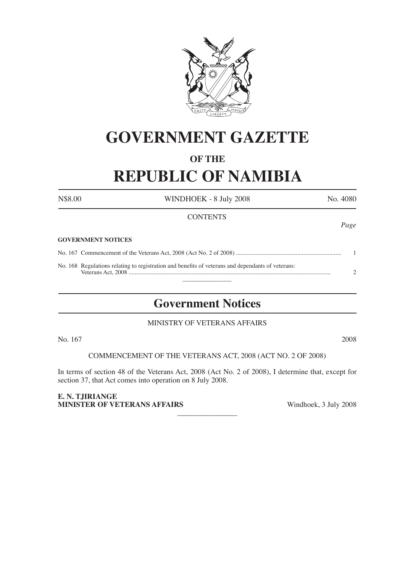

# **GOVERNMENT GAZETTE**

## **OF THE**

# **REPUBLIC OF NAMIBIA**

N\$8.00 WINDHOEK - 8 July 2008 No. 4080

## **CONTENTS**

*Page*

#### **GOVERNMENT NOTICES**

No. 167 Commencement of the Veterans Act, 2008 (Act No. 2 of 2008) ..................................................................... 1 No. 168 Regulations relating to registration and benefits of veterans and dependants of veterans: Veterans Act, 2008 .................................................................................................................................... 2

 $\frac{1}{2}$ 

# **Government Notices**

## MINISTRY OF VETERANS AFFAIRS

No. 167 2008

COMMENCEMENT OF THE VETERANS ACT, 2008 (ACT NO. 2 OF 2008)

In terms of section 48 of the Veterans Act, 2008 (Act No. 2 of 2008), I determine that, except for section 37, that Act comes into operation on 8 July 2008.

 $\overline{\phantom{a}}$  , where  $\overline{\phantom{a}}$ 

**E. N. TJIRIANGE MINISTER OF VETERANS AFFAIRS** Windhoek, 3 July 2008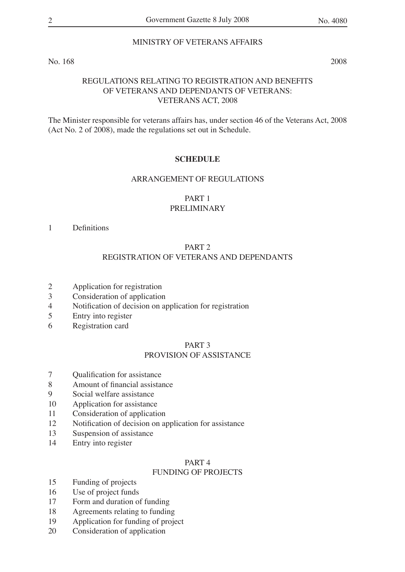## MINISTRY OF VETERANS AFFAIRS

No. 168 2008

## REGULATIONS RELATING TO REGISTRATION AND BENEFITS OF VETERANS AND DEPENDANTS OF VETERANS: VETERANS ACT, 2008

The Minister responsible for veterans affairs has, under section 46 of the Veterans Act, 2008 (Act No. 2 of 2008), made the regulations set out in Schedule.

#### **SCHEDULE**

#### ARRANGEMENT OF REGULATIONS

#### PART 1

## PRELIMINARY

#### 1 Definitions

#### PART 2

## REGISTRATION OF VETERANS AND DEPENDANTS

- 2 Application for registration
- 3 Consideration of application
- 4 Notification of decision on application for registration<br>5 Entry into register
- 5 Entry into register
- 6 Registration card

#### PART 3

## PROVISION OF ASSISTANCE

- 7 Qualification for assistance
- 8 Amount of financial assistance
- 9 Social welfare assistance
- 10 Application for assistance
- 11 Consideration of application
- 12 Notification of decision on application for assistance
- 13 Suspension of assistance
- 14 Entry into register

#### PART 4

## FUNDING OF PROJECTS

- 15 Funding of projects
- 16 Use of project funds<br>17 Form and duration of
- Form and duration of funding
- 18 Agreements relating to funding
- 19 Application for funding of project
- 20 Consideration of application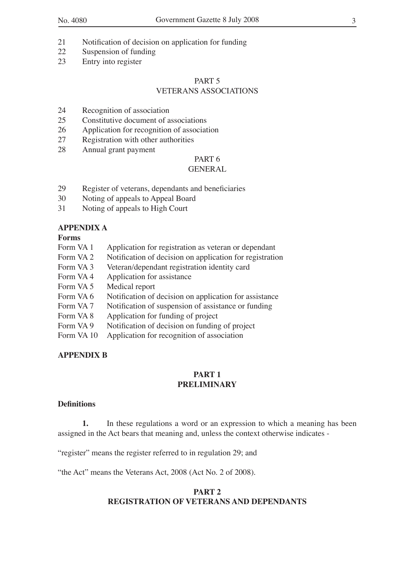- 21 Notification of decision on application for funding
- 22 Suspension of funding
- 23 Entry into register

#### PART 5 VETERANS ASSOCIATIONS

- 24 Recognition of association
- 25 Constitutive document of associations
- 26 Application for recognition of association
- 27 Registration with other authorities
- 28 Annual grant payment

## PART 6

## **GENERAL**

- 29 Register of veterans, dependants and beneficiaries
- 30 Noting of appeals to Appeal Board
- 31 Noting of appeals to High Court

## **APPENDIX A**

## **Forms**

- Form VA 1 Application for registration as veteran or dependant
- Form VA 2 Notification of decision on application for registration<br>Form VA 3 Veteran/dependant registration identity card
- Veteran/dependant registration identity card
- Form VA 4 Application for assistance
- Form VA 5 Medical report
- Form VA 6 Notification of decision on application for assistance
- Form VA 7 Notification of suspension of assistance or funding<br>Form VA 8 Application for funding of project
- Application for funding of project
- Form VA 9 Notification of decision on funding of project
- Form VA 10 Application for recognition of association

## **APPENDIX B**

#### **PART 1 PRELIMINARY**

#### **Definitions**

**1.** In these regulations a word or an expression to which a meaning has been assigned in the Act bears that meaning and, unless the context otherwise indicates -

"register" means the register referred to in regulation 29; and

"the Act" means the Veterans Act, 2008 (Act No. 2 of 2008).

## **PART 2 REGISTRATION OF VETERANS AND DEPENDANTS**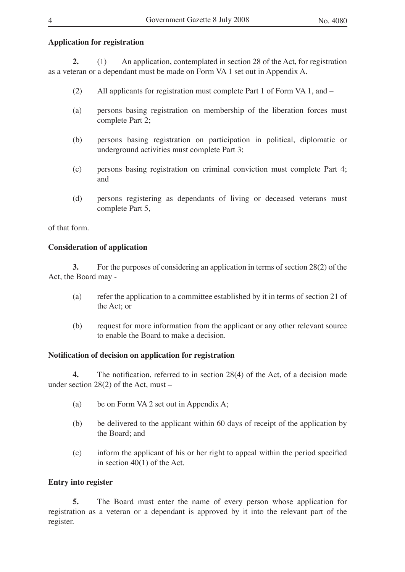## **Application for registration**

**2.** (1) An application, contemplated in section 28 of the Act, for registration as a veteran or a dependant must be made on Form VA 1 set out in Appendix A.

- (2) All applicants for registration must complete Part 1 of Form VA 1, and –
- (a) persons basing registration on membership of the liberation forces must complete Part 2;
- (b) persons basing registration on participation in political, diplomatic or underground activities must complete Part 3;
- (c) persons basing registration on criminal conviction must complete Part 4; and
- (d) persons registering as dependants of living or deceased veterans must complete Part 5,

of that form.

## **Consideration of application**

**3.** For the purposes of considering an application in terms of section 28(2) of the Act, the Board may -

- (a) refer the application to a committee established by it in terms of section 21 of the Act; or
- (b) request for more information from the applicant or any other relevant source to enable the Board to make a decision.

## **Notification of decision on application for registration**

**4.** The notification, referred to in section 28(4) of the Act, of a decision made under section 28(2) of the Act, must –

- (a) be on Form VA 2 set out in Appendix A;
- (b) be delivered to the applicant within 60 days of receipt of the application by the Board; and
- (c) inform the applicant of his or her right to appeal within the period specified in section 40(1) of the Act.

## **Entry into register**

**5.** The Board must enter the name of every person whose application for registration as a veteran or a dependant is approved by it into the relevant part of the register.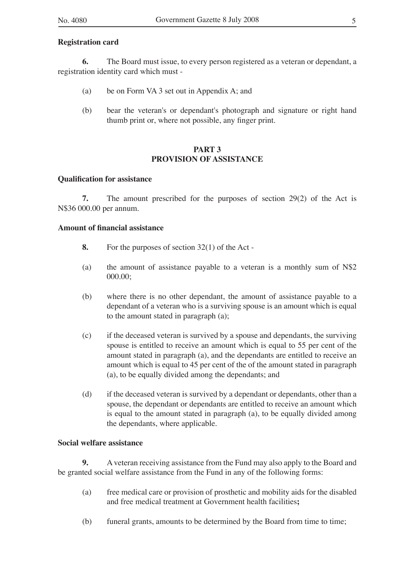#### **Registration card**

**6.** The Board must issue, to every person registered as a veteran or dependant, a registration identity card which must -

- (a) be on Form VA 3 set out in Appendix A; and
- (b) bear the veteran's or dependant's photograph and signature or right hand thumb print or, where not possible, any finger print.

## **PART 3 PROVISION OF ASSISTANCE**

#### **Qualification for assistance**

**7.** The amount prescribed for the purposes of section 29(2) of the Act is N\$36 000.00 per annum.

## **Amount of financial assistance**

- **8.** For the purposes of section 32(1) of the Act -
- (a) the amount of assistance payable to a veteran is a monthly sum of N\$2 000.00;
- (b) where there is no other dependant, the amount of assistance payable to a dependant of a veteran who is a surviving spouse is an amount which is equal to the amount stated in paragraph (a);
- (c) if the deceased veteran is survived by a spouse and dependants, the surviving spouse is entitled to receive an amount which is equal to 55 per cent of the amount stated in paragraph (a), and the dependants are entitled to receive an amount which is equal to 45 per cent of the of the amount stated in paragraph (a), to be equally divided among the dependants; and
- (d) if the deceased veteran is survived by a dependant or dependants, other than a spouse, the dependant or dependants are entitled to receive an amount which is equal to the amount stated in paragraph (a), to be equally divided among the dependants, where applicable.

## **Social welfare assistance**

**9.** A veteran receiving assistance from the Fund may also apply to the Board and be granted social welfare assistance from the Fund in any of the following forms:

- (a) free medical care or provision of prosthetic and mobility aids for the disabled and free medical treatment at Government health facilities**;**
- (b) funeral grants, amounts to be determined by the Board from time to time;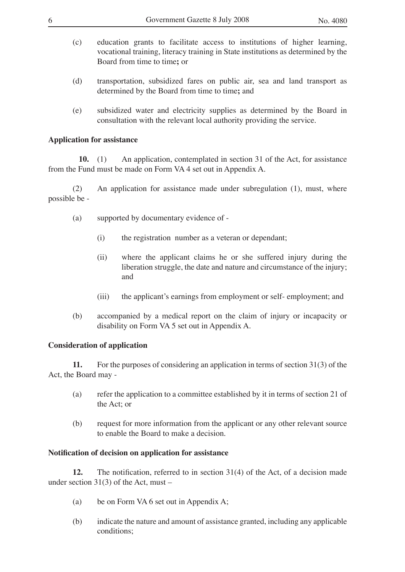- 
- (c) education grants to facilitate access to institutions of higher learning, vocational training, literacy training in State institutions as determined by the Board from time to time**;** or
- (d) transportation, subsidized fares on public air, sea and land transport as determined by the Board from time to time**;** and
- (e) subsidized water and electricity supplies as determined by the Board in consultation with the relevant local authority providing the service.

## **Application for assistance**

**10.** (1) An application, contemplated in section 31 of the Act, for assistance from the Fund must be made on Form VA 4 set out in Appendix A.

(2) An application for assistance made under subregulation (1), must, where possible be -

- (a) supported by documentary evidence of
	- (i) the registration number as a veteran or dependant;
	- (ii) where the applicant claims he or she suffered injury during the liberation struggle, the date and nature and circumstance of the injury; and
	- (iii) the applicant's earnings from employment or self- employment; and
- (b) accompanied by a medical report on the claim of injury or incapacity or disability on Form VA 5 set out in Appendix A.

## **Consideration of application**

**11.** For the purposes of considering an application in terms of section 31(3) of the Act, the Board may -

- (a) refer the application to a committee established by it in terms of section 21 of the Act; or
- (b) request for more information from the applicant or any other relevant source to enable the Board to make a decision.

## **Notification of decision on application for assistance**

**12.** The notification, referred to in section 31(4) of the Act, of a decision made under section 31(3) of the Act, must –

- (a) be on Form VA 6 set out in Appendix A;
- (b) indicate the nature and amount of assistance granted, including any applicable conditions;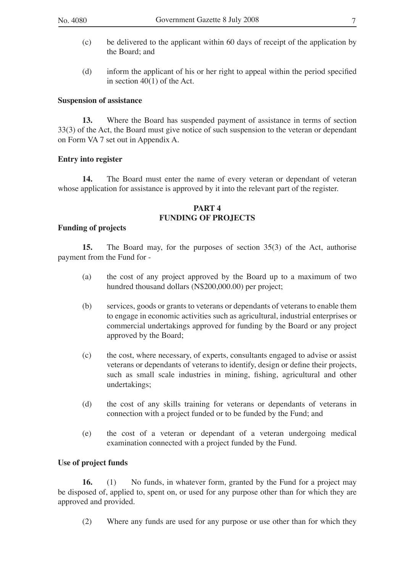- (c) be delivered to the applicant within 60 days of receipt of the application by the Board; and
- (d) inform the applicant of his or her right to appeal within the period specified in section 40(1) of the Act.

## **Suspension of assistance**

**13.** Where the Board has suspended payment of assistance in terms of section 33(3) of the Act, the Board must give notice of such suspension to the veteran or dependant on Form VA 7 set out in Appendix A.

## **Entry into register**

**14.** The Board must enter the name of every veteran or dependant of veteran whose application for assistance is approved by it into the relevant part of the register.

#### **PART 4 FUNDING OF PROJECTS**

## **Funding of projects**

**15.** The Board may, for the purposes of section 35(3) of the Act, authorise payment from the Fund for -

- (a) the cost of any project approved by the Board up to a maximum of two hundred thousand dollars (N\$200,000.00) per project;
- (b) services, goods or grants to veterans or dependants of veterans to enable them to engage in economic activities such as agricultural, industrial enterprises or commercial undertakings approved for funding by the Board or any project approved by the Board;
- (c) the cost, where necessary, of experts, consultants engaged to advise or assist veterans or dependants of veterans to identify, design or define their projects, such as small scale industries in mining, fishing, agricultural and other undertakings;
- (d) the cost of any skills training for veterans or dependants of veterans in connection with a project funded or to be funded by the Fund; and
- (e) the cost of a veteran or dependant of a veteran undergoing medical examination connected with a project funded by the Fund.

## **Use of project funds**

**16.** (1) No funds, in whatever form, granted by the Fund for a project may be disposed of, applied to, spent on, or used for any purpose other than for which they are approved and provided.

(2) Where any funds are used for any purpose or use other than for which they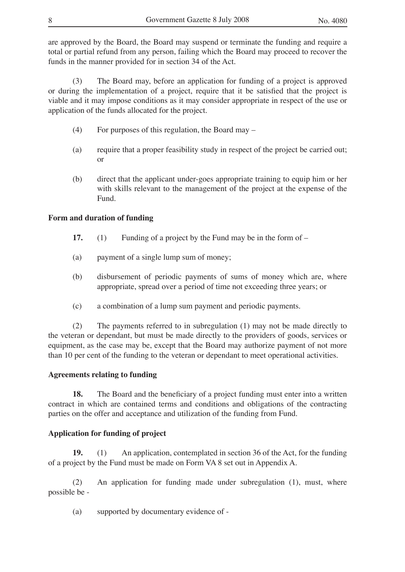are approved by the Board, the Board may suspend or terminate the funding and require a total or partial refund from any person, failing which the Board may proceed to recover the funds in the manner provided for in section 34 of the Act.

(3) The Board may, before an application for funding of a project is approved or during the implementation of a project, require that it be satisfied that the project is viable and it may impose conditions as it may consider appropriate in respect of the use or application of the funds allocated for the project.

- (4) For purposes of this regulation, the Board may –
- (a) require that a proper feasibility study in respect of the project be carried out; or
- (b) direct that the applicant under-goes appropriate training to equip him or her with skills relevant to the management of the project at the expense of the Fund.

#### **Form and duration of funding**

- **17.** (1) Funding of a project by the Fund may be in the form of –
- (a) payment of a single lump sum of money;
- (b) disbursement of periodic payments of sums of money which are, where appropriate, spread over a period of time not exceeding three years; or
- (c) a combination of a lump sum payment and periodic payments.

(2) The payments referred to in subregulation (1) may not be made directly to the veteran or dependant, but must be made directly to the providers of goods, services or equipment, as the case may be, except that the Board may authorize payment of not more than 10 per cent of the funding to the veteran or dependant to meet operational activities.

## **Agreements relating to funding**

**18.** The Board and the beneficiary of a project funding must enter into a written contract in which are contained terms and conditions and obligations of the contracting parties on the offer and acceptance and utilization of the funding from Fund.

## **Application for funding of project**

**19.** (1) An application, contemplated in section 36 of the Act, for the funding of a project by the Fund must be made on Form VA 8 set out in Appendix A.

(2) An application for funding made under subregulation (1), must, where possible be -

(a) supported by documentary evidence of -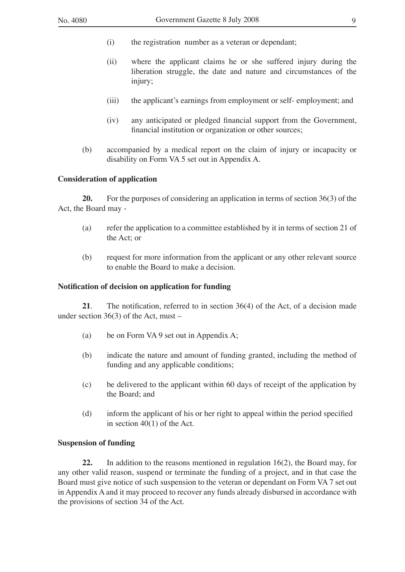- (i) the registration number as a veteran or dependant;
- (ii) where the applicant claims he or she suffered injury during the liberation struggle, the date and nature and circumstances of the injury;
- (iii) the applicant's earnings from employment or self- employment; and
- (iv) any anticipated or pledged financial support from the Government, financial institution or organization or other sources;
- (b) accompanied by a medical report on the claim of injury or incapacity or disability on Form VA 5 set out in Appendix A.

#### **Consideration of application**

**20.** For the purposes of considering an application in terms of section 36(3) of the Act, the Board may -

- (a) refer the application to a committee established by it in terms of section 21 of the Act; or
- (b) request for more information from the applicant or any other relevant source to enable the Board to make a decision.

#### **Notification of decision on application for funding**

**21**. The notification, referred to in section 36(4) of the Act, of a decision made under section 36(3) of the Act, must –

- (a) be on Form VA 9 set out in Appendix A;
- (b) indicate the nature and amount of funding granted, including the method of funding and any applicable conditions;
- (c) be delivered to the applicant within 60 days of receipt of the application by the Board; and
- (d) inform the applicant of his or her right to appeal within the period specified in section 40(1) of the Act.

## **Suspension of funding**

**22.** In addition to the reasons mentioned in regulation 16(2), the Board may, for any other valid reason, suspend or terminate the funding of a project, and in that case the Board must give notice of such suspension to the veteran or dependant on Form VA 7 set out in Appendix A and it may proceed to recover any funds already disbursed in accordance with the provisions of section 34 of the Act.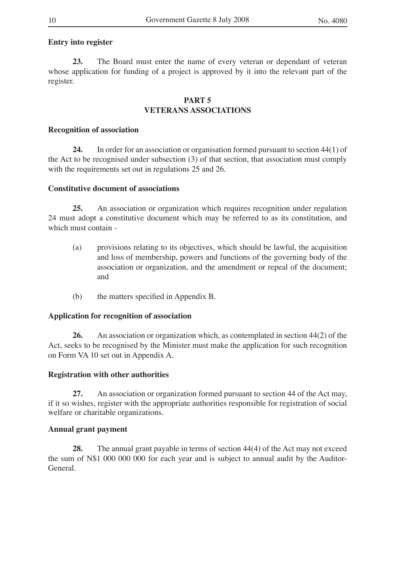## **Entry into register**

**23.** The Board must enter the name of every veteran or dependant of veteran whose application for funding of a project is approved by it into the relevant part of the register.

## **PART 5 VETERANS ASSOCIATIONS**

#### **Recognition of association**

**24.** In order for an association or organisation formed pursuant to section 44(1) of the Act to be recognised under subsection (3) of that section, that association must comply with the requirements set out in regulations 25 and 26.

#### **Constitutive document of associations**

**25.** An association or organization which requires recognition under regulation 24 must adopt a constitutive document which may be referred to as its constitution, and which must contain -

- (a) provisions relating to its objectives, which should be lawful, the acquisition and loss of membership, powers and functions of the governing body of the association or organization, and the amendment or repeal of the document; and
- (b) the matters specified in Appendix B.

## **Application for recognition of association**

**26.** An association or organization which, as contemplated in section 44(2) of the Act, seeks to be recognised by the Minister must make the application for such recognition on Form VA 10 set out in Appendix A.

## **Registration with other authorities**

**27.** An association or organization formed pursuant to section 44 of the Act may, if it so wishes, register with the appropriate authorities responsible for registration of social welfare or charitable organizations.

## **Annual grant payment**

**28.** The annual grant payable in terms of section 44(4) of the Act may not exceed the sum of N\$1 000 000 000 for each year and is subject to annual audit by the Auditor-General.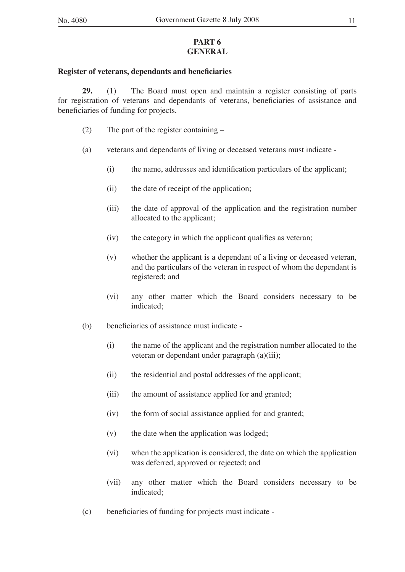## **PART 6 GENERAL**

#### **Register of veterans, dependants and beneficiaries**

**29.** (1) The Board must open and maintain a register consisting of parts for registration of veterans and dependants of veterans, beneficiaries of assistance and beneficiaries of funding for projects.

- (2) The part of the register containing –
- (a) veterans and dependants of living or deceased veterans must indicate
	- (i) the name, addresses and identification particulars of the applicant;
	- (ii) the date of receipt of the application;
	- (iii) the date of approval of the application and the registration number allocated to the applicant;
	- (iv) the category in which the applicant qualifies as veteran;
	- (v) whether the applicant is a dependant of a living or deceased veteran, and the particulars of the veteran in respect of whom the dependant is registered; and
	- (vi) any other matter which the Board considers necessary to be indicated;
- (b) beneficiaries of assistance must indicate
	- (i) the name of the applicant and the registration number allocated to the veteran or dependant under paragraph (a)(iii);
	- (ii) the residential and postal addresses of the applicant;
	- (iii) the amount of assistance applied for and granted;
	- (iv) the form of social assistance applied for and granted;
	- (v) the date when the application was lodged;
	- (vi) when the application is considered, the date on which the application was deferred, approved or rejected; and
	- (vii) any other matter which the Board considers necessary to be indicated;
- (c) beneficiaries of funding for projects must indicate -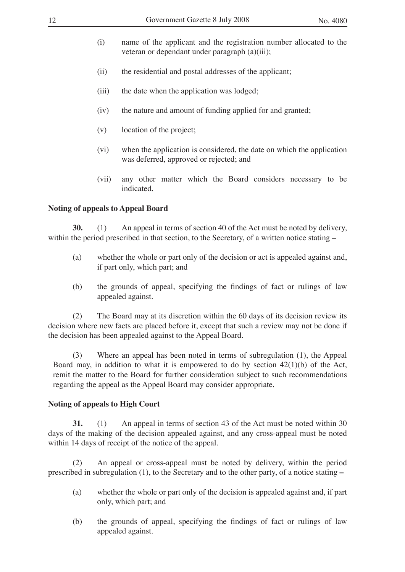- (i) name of the applicant and the registration number allocated to the veteran or dependant under paragraph (a)(iii);
- (ii) the residential and postal addresses of the applicant;
- (iii) the date when the application was lodged;
- (iv) the nature and amount of funding applied for and granted;
- (v) location of the project;
- (vi) when the application is considered, the date on which the application was deferred, approved or rejected; and
- (vii) any other matter which the Board considers necessary to be indicated.

## **Noting of appeals to Appeal Board**

**30.** (1) An appeal in terms of section 40 of the Act must be noted by delivery, within the period prescribed in that section, to the Secretary, of a written notice stating –

- (a) whether the whole or part only of the decision or act is appealed against and, if part only, which part; and
- (b) the grounds of appeal, specifying the findings of fact or rulings of law appealed against.

(2) The Board may at its discretion within the 60 days of its decision review its decision where new facts are placed before it, except that such a review may not be done if the decision has been appealed against to the Appeal Board.

(3) Where an appeal has been noted in terms of subregulation (1), the Appeal Board may, in addition to what it is empowered to do by section  $42(1)(b)$  of the Act, remit the matter to the Board for further consideration subject to such recommendations regarding the appeal as the Appeal Board may consider appropriate.

## **Noting of appeals to High Court**

**31.** (1) An appeal in terms of section 43 of the Act must be noted within 30 days of the making of the decision appealed against, and any cross-appeal must be noted within 14 days of receipt of the notice of the appeal.

(2) An appeal or cross-appeal must be noted by delivery, within the period prescribed in subregulation (1), to the Secretary and to the other party, of a notice stating **–**

- (a) whether the whole or part only of the decision is appealed against and, if part only, which part; and
- (b) the grounds of appeal, specifying the findings of fact or rulings of law appealed against.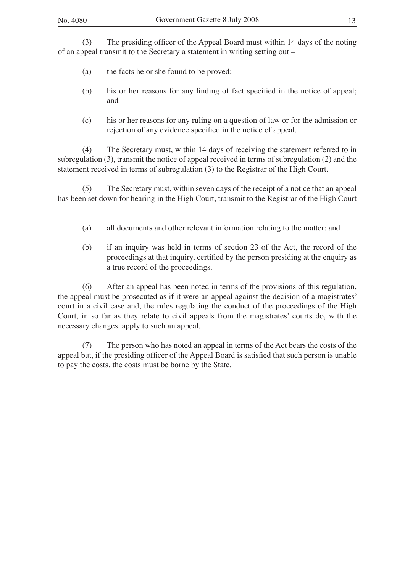-

(3) The presiding officer of the Appeal Board must within 14 days of the noting of an appeal transmit to the Secretary a statement in writing setting out –

- (a) the facts he or she found to be proved;
- (b) his or her reasons for any finding of fact specified in the notice of appeal; and
- (c) his or her reasons for any ruling on a question of law or for the admission or rejection of any evidence specified in the notice of appeal.

(4) The Secretary must, within 14 days of receiving the statement referred to in subregulation (3), transmit the notice of appeal received in terms of subregulation (2) and the statement received in terms of subregulation (3) to the Registrar of the High Court.

(5) The Secretary must, within seven days of the receipt of a notice that an appeal has been set down for hearing in the High Court, transmit to the Registrar of the High Court

- (a) all documents and other relevant information relating to the matter; and
- (b) if an inquiry was held in terms of section 23 of the Act, the record of the proceedings at that inquiry, certified by the person presiding at the enquiry as a true record of the proceedings.

(6) After an appeal has been noted in terms of the provisions of this regulation, the appeal must be prosecuted as if it were an appeal against the decision of a magistrates' court in a civil case and, the rules regulating the conduct of the proceedings of the High Court, in so far as they relate to civil appeals from the magistrates' courts do, with the necessary changes, apply to such an appeal.

(7) The person who has noted an appeal in terms of the Act bears the costs of the appeal but, if the presiding officer of the Appeal Board is satisfied that such person is unable to pay the costs, the costs must be borne by the State.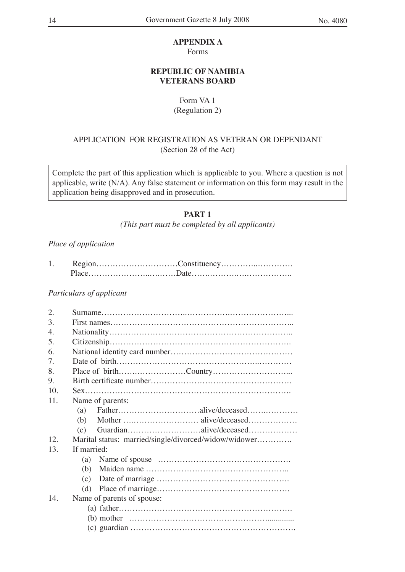#### **APPENDIX A**

Forms

## **REPUBLIC OF NAMIBIA VETERANS BOARD**

## Form VA 1

(Regulation 2)

## APPLICATION FOR REGISTRATION AS VETERAN OR DEPENDANT (Section 28 of the Act)

Complete the part of this application which is applicable to you. Where a question is not applicable, write (N/A). Any false statement or information on this form may result in the application being disapproved and in prosecution.

## **PART 1**

*(This part must be completed by all applicants)*

## *Place of application*

## *Particulars of applicant*

| 2.  |                                                       |  |  |  |  |  |  |
|-----|-------------------------------------------------------|--|--|--|--|--|--|
| 3.  |                                                       |  |  |  |  |  |  |
| 4.  |                                                       |  |  |  |  |  |  |
| 5.  |                                                       |  |  |  |  |  |  |
| 6.  |                                                       |  |  |  |  |  |  |
| 7.  |                                                       |  |  |  |  |  |  |
| 8.  | Place of birthCountry                                 |  |  |  |  |  |  |
| 9.  |                                                       |  |  |  |  |  |  |
| 10. |                                                       |  |  |  |  |  |  |
| 11. | Name of parents:                                      |  |  |  |  |  |  |
|     | (a)                                                   |  |  |  |  |  |  |
|     | (b)                                                   |  |  |  |  |  |  |
|     | Guardianalive/deceased<br>(c)                         |  |  |  |  |  |  |
| 12. | Marital status: married/single/divorced/widow/widower |  |  |  |  |  |  |
| 13. | If married:                                           |  |  |  |  |  |  |
|     | (a)                                                   |  |  |  |  |  |  |
|     | (b)                                                   |  |  |  |  |  |  |
|     | (c)                                                   |  |  |  |  |  |  |
|     | (d)                                                   |  |  |  |  |  |  |
| 14. | Name of parents of spouse:                            |  |  |  |  |  |  |
|     |                                                       |  |  |  |  |  |  |
|     |                                                       |  |  |  |  |  |  |
|     |                                                       |  |  |  |  |  |  |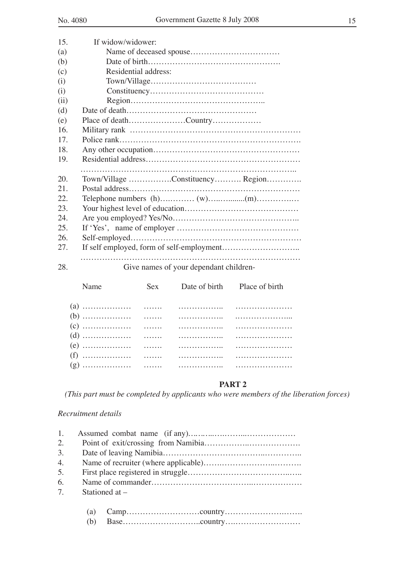| 15.  | If widow/widower:                      |
|------|----------------------------------------|
| (a)  |                                        |
| (b)  |                                        |
| (c)  | Residential address:                   |
| (i)  |                                        |
| (i)  |                                        |
| (ii) |                                        |
| (d)  |                                        |
| (e)  | Place of deathCountry                  |
| 16.  |                                        |
| 17.  |                                        |
| 18.  |                                        |
| 19.  |                                        |
|      |                                        |
| 20.  | Town/Village Constituency Region       |
| 21.  |                                        |
| 22   |                                        |
| 23.  |                                        |
| 24.  |                                        |
| 25.  |                                        |
| 26.  |                                        |
| 27.  |                                        |
|      |                                        |
| 28.  | Give names of your dependant children- |

| Name | Sex Date of birth Place of birth |  |
|------|----------------------------------|--|
|      |                                  |  |
|      |                                  |  |
|      |                                  |  |
|      |                                  |  |
|      |                                  |  |
|      |                                  |  |
|      |                                  |  |

## **PART 2**

*(This part must be completed by applicants who were members of the liberation forces)*

#### *Recruitment details*

| 1. |                  |  |  |  |  |  |  |
|----|------------------|--|--|--|--|--|--|
| 2. |                  |  |  |  |  |  |  |
| 3. |                  |  |  |  |  |  |  |
| 4. |                  |  |  |  |  |  |  |
| 5. |                  |  |  |  |  |  |  |
| 6. |                  |  |  |  |  |  |  |
| 7. | Stationed at $-$ |  |  |  |  |  |  |
|    |                  |  |  |  |  |  |  |
|    | (a)              |  |  |  |  |  |  |
|    | (b)              |  |  |  |  |  |  |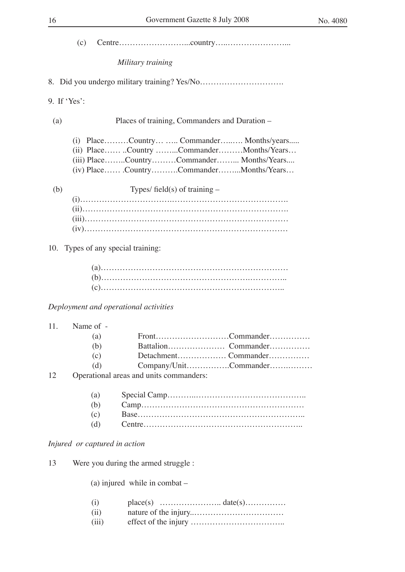| 16           | Government Gazette 8 July 2008                                                                                                                                            | No. 4080 |
|--------------|---------------------------------------------------------------------------------------------------------------------------------------------------------------------------|----------|
| (c)          |                                                                                                                                                                           |          |
|              | Military training                                                                                                                                                         |          |
|              |                                                                                                                                                                           |          |
| 9. If 'Yes': |                                                                                                                                                                           |          |
| (a)          | Places of training, Commanders and Duration –                                                                                                                             |          |
|              | (i) PlaceCountry  Commander Months/years<br>(ii) PlaceCountry CommanderMonths/Years<br>(iii) PlaceCountryCommander Months/Years<br>(iv) PlaceCountryCommanderMonths/Years |          |

(b) Types/ field(s) of training –

## 10. Types of any special training:

## *Deployment and operational activities*

## 11. Name of -

| (a) |                                     |                       |
|-----|-------------------------------------|-----------------------|
| (b) |                                     |                       |
| (c) |                                     |                       |
| (d) |                                     | Company/UnitCommander |
|     | ational areas and units commanders: |                       |

## 12 Operational areas and units commanders:

## *Injured or captured in action*

13 Were you during the armed struggle :

(a) injured while in combat –

| (i)   |  |
|-------|--|
| (ii)  |  |
| (iii) |  |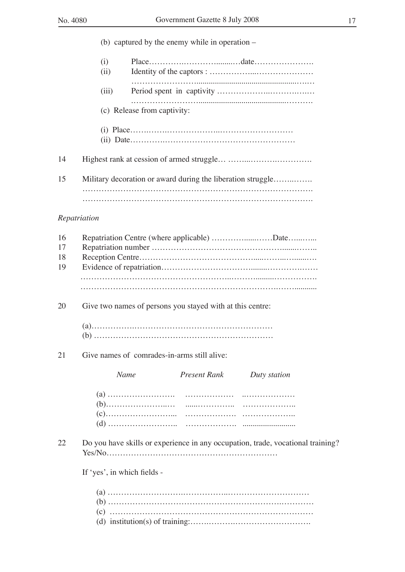|                      |             |                                             | (b) captured by the enemy while in operation $-$          |                                                                                 |
|----------------------|-------------|---------------------------------------------|-----------------------------------------------------------|---------------------------------------------------------------------------------|
|                      | (i)<br>(ii) |                                             |                                                           |                                                                                 |
|                      | (iii)       |                                             |                                                           |                                                                                 |
|                      |             | (c) Release from captivity:                 |                                                           |                                                                                 |
|                      |             |                                             |                                                           |                                                                                 |
| 14                   |             |                                             |                                                           |                                                                                 |
| 15                   |             |                                             |                                                           | Military decoration or award during the liberation struggle                     |
|                      |             |                                             |                                                           |                                                                                 |
| Repatriation         |             |                                             |                                                           |                                                                                 |
| 16<br>17<br>18<br>19 |             |                                             |                                                           |                                                                                 |
|                      |             |                                             |                                                           |                                                                                 |
| 20                   |             |                                             | Give two names of persons you stayed with at this centre: |                                                                                 |
|                      |             |                                             |                                                           |                                                                                 |
| 21                   |             | Give names of comrades-in-arms still alive: |                                                           |                                                                                 |
|                      |             | Name                                        | <b>Present Rank</b>                                       | Duty station                                                                    |
|                      |             |                                             |                                                           |                                                                                 |
| 22                   |             |                                             |                                                           | Do you have skills or experience in any occupation, trade, vocational training? |
|                      |             | If 'yes', in which fields -                 |                                                           |                                                                                 |
|                      |             |                                             |                                                           |                                                                                 |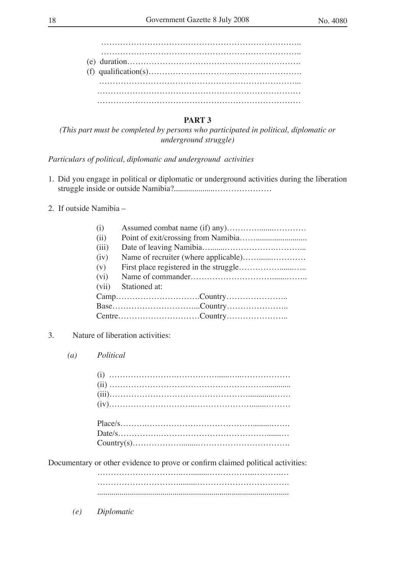……………………………………………………………….. ……………………………………………………………….. (e) duration………………………………………………………. (f) qualification(s)…………………………..……………………. ………………………………………………………………... ………………………………………………………………… …………………………………………………………………

## **PART 3**

*(This part must be completed by persons who participated in political, diplomatic or underground struggle)*

*Particulars of political, diplomatic and underground activities* 

- 1. Did you engage in political or diplomatic or underground activities during the liberation struggle inside or outside Namibia?....................…………………
- 2. If outside Namibia –

| (i)   |               |
|-------|---------------|
| (ii)  |               |
| (iii) |               |
| (iv)  |               |
| (v)   |               |
| (vi)  |               |
| (vii) | Stationed at: |
|       |               |
|       |               |
|       |               |

- 3. Nature of liberation activities:
	- *(a) Political*

Documentary or other evidence to prove or confirm claimed political activities:

 …………………………..….........……………..……….… ………………………….........……………………………. ..............................................................................................

*(e) Diplomatic*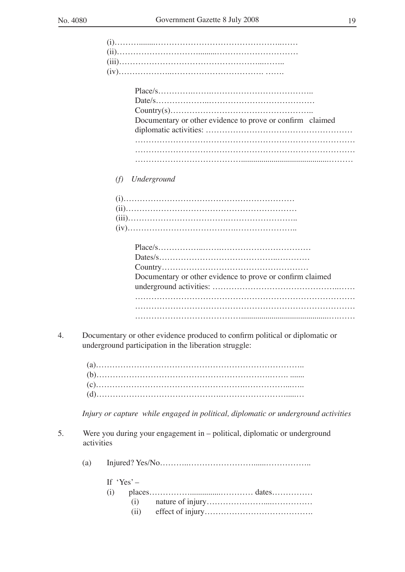| Documentary or other evidence to prove or confirm claimed |
|-----------------------------------------------------------|
|                                                           |
|                                                           |
|                                                           |
|                                                           |

## *(f) Underground*

| Documentary or other evidence to prove or confirm claimed |
|-----------------------------------------------------------|
|                                                           |
|                                                           |
|                                                           |
|                                                           |

4. Documentary or other evidence produced to confirm political or diplomatic or underground participation in the liberation struggle:

*Injury or capture while engaged in political, diplomatic or underground activities*

- 5. Were you during your engagement in political, diplomatic or underground activities
	- (a) Injured? Yes/No………..……………………......……………..

| If $Yes' =$ |  |
|-------------|--|
|             |  |
|             |  |
|             |  |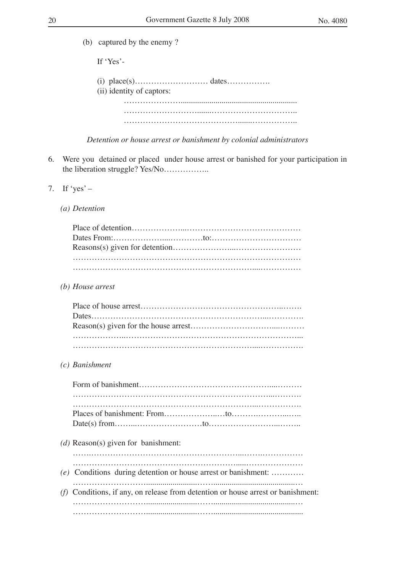(b) captured by the enemy ?

If ʻYes'-

 (i) place(s)……………………… dates……………. (ii) identity of captors: …………………......................................................... ……………………….......………………………….. …………………………………….......……………..

*Detention or house arrest or banishment by colonial administrators*

- 6. Were you detained or placed under house arrest or banished for your participation in the liberation struggle? Yes/No……………..
- 7. If  $\text{`yes'}-$ 
	- *(a) Detention*

*(b) House arrest*

*(c) Banishment*

| (d) Reason(s) given for banishment:                                              |
|----------------------------------------------------------------------------------|
| (e) Conditions during detention or house arrest or banishment:                   |
| (f) Conditions, if any, on release from detention or house arrest or banishment: |
|                                                                                  |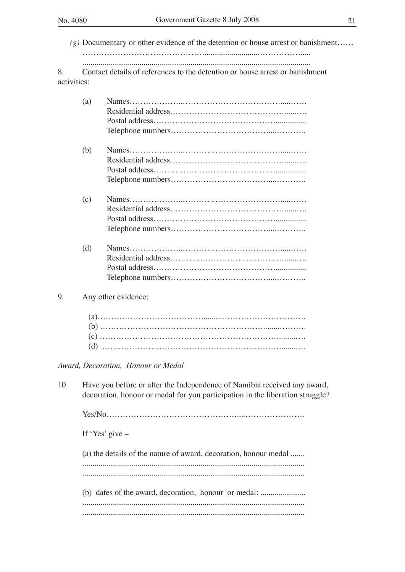*(g)* Documentary or other evidence of the detention or house arrest or banishment…… ………………………………………...........................……………..... ................................................................................................................

8. Contact details of references to the detention or house arrest or banishment activities:

|    | (a) |                     |
|----|-----|---------------------|
|    | (b) |                     |
|    | (c) |                     |
|    | (d) |                     |
| 9. |     | Any other evidence: |
|    |     |                     |

*Award, Decoration, Honour or Medal*

10 Have you before or after the Independence of Namibia received any award, decoration, honour or medal for you participation in the liberation struggle?

Yes/No…………………………………………....………………….

If ʻYes' give –

(a) the details of the nature of award, decoration, honour medal ....... ............................................................................................................. ............................................................................................................. (b) dates of the award, decoration, honour or medal: ............................ ............................................................................................................. .............................................................................................................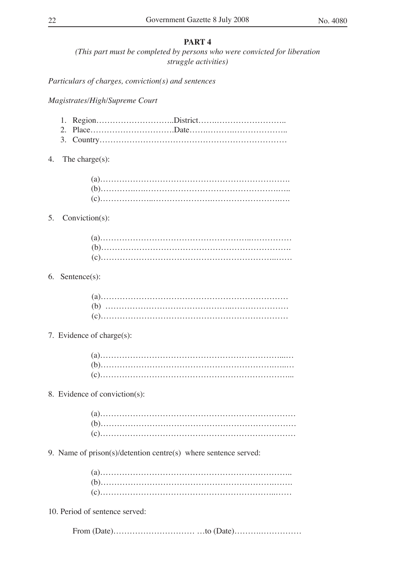## **PART 4**

*(This part must be completed by persons who were convicted for liberation struggle activities)*

*Particulars of charges, conviction(s) and sentences*

## *Magistrates/High/Supreme Court*

- 3. Country……………………………………………………………
- 4. The charge(s):

## 5. Conviction(s):

## 6. Sentence(s):

#### 7. Evidence of charge(s):

## 8. Evidence of conviction(s):

9. Name of prison(s)/detention centre(s) where sentence served:

10. Period of sentence served:

From (Date)………………………… …to (Date)……….……………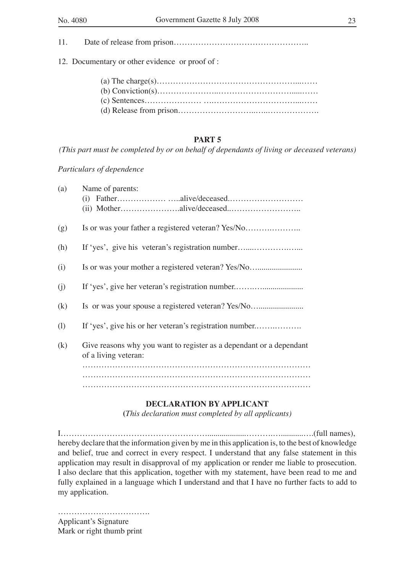11. Date of release from prison…………………………………………..

12. Documentary or other evidence or proof of :

## **PART 5**

*(This part must be completed by or on behalf of dependants of living or deceased veterans)*

*Particulars of dependence*

| (a)               | Name of parents:                                                                            |
|-------------------|---------------------------------------------------------------------------------------------|
| (g)               | Is or was your father a registered veteran? Yes/No                                          |
| (h)               | If 'yes', give his veteran's registration number                                            |
| (i)               | Is or was your mother a registered veteran? Yes/No                                          |
| (i)               | If 'yes', give her veteran's registration number                                            |
| $\left( k\right)$ | Is or was your spouse a registered veteran? Yes/No                                          |
| (1)               | If 'yes', give his or her veteran's registration number                                     |
| (k)               | Give reasons why you want to register as a dependant or a dependant<br>of a living veteran: |
|                   |                                                                                             |
|                   |                                                                                             |

## **DECLARATION BY APPLICANT**

**(***This declaration must completed by all applicants)*

I………………………………………………...................……….…...........….(full names), hereby declare that the information given by me in this application is, to the best of knowledge and belief, true and correct in every respect. I understand that any false statement in this application may result in disapproval of my application or render me liable to prosecution. I also declare that this application, together with my statement, have been read to me and fully explained in a language which I understand and that I have no further facts to add to my application.

……………………………. Applicant's Signature Mark or right thumb print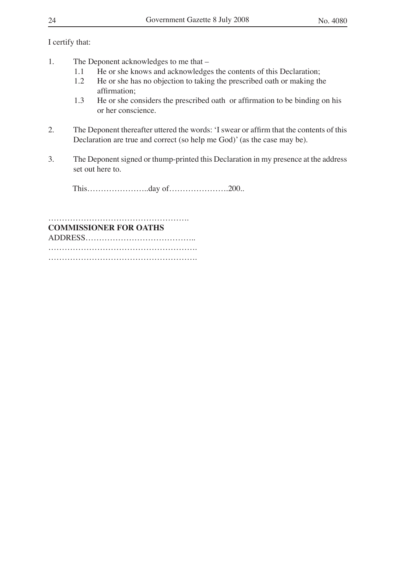I certify that:

- 1. The Deponent acknowledges to me that
	- 1.1 He or she knows and acknowledges the contents of this Declaration;<br>1.2 He or she has no objection to taking the prescribed oath or making the
	- 1.2 He or she has no objection to taking the prescribed oath or making the affirmation;
	- 1.3 He or she considers the prescribed oath or affirmation to be binding on his or her conscience.
- 2. The Deponent thereafter uttered the words: ʻI swear or affirm that the contents of this Declaration are true and correct (so help me God)' (as the case may be).
- 3. The Deponent signed or thump-printed this Declaration in my presence at the address set out here to.

This…………………..day of………………….200..

## ……………………………………………. **COMMISSIONER FOR OATHS**

ADDRESS…………………………………..

………………………………………………. ……………………………………………….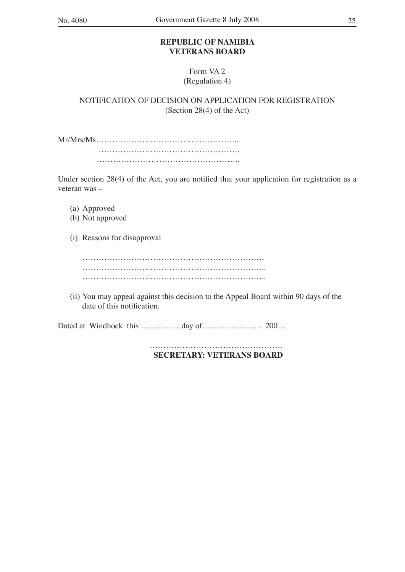## **REPUBLIC OF NAMIBIA VETERANS BOARD**

## Form VA 2 (Regulation 4)

NOTIFICATION OF DECISION ON APPLICATION FOR REGISTRATION (Section 28(4) of the Act)

Mr/Mrs/Ms…………………………………………….. …………………………………………….

……………………………………………………………

Under section 28(4) of the Act, you are notified that your application for registration as a veteran was –

- (a) Approved
- (b) Not approved
- (i) Reasons for disapproval

…………………………………………………………. ………………………………………………………….. …………………………………………………………..

(ii) You may appeal against this decision to the Appeal Board within 90 days of the date of this notification.

Dated at Windhoek this ……………day of…………………. 200…

 ………………………………………….  **SECRETARY: VETERANS BOARD**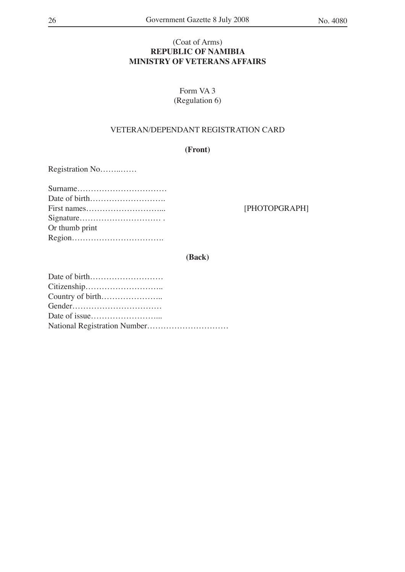## (Coat of Arms) **REPUBLIC OF NAMIBIA MINISTRY OF VETERANS AFFAIRS**

Form VA 3 (Regulation 6)

## VETERAN/DEPENDANT REGISTRATION CARD

**(Front)**

Registration No……..……

| Or thumb print |
|----------------|
|                |

[PHOTOPGRAPH]

## **(Back)**

| Date of birth |
|---------------|
|               |
|               |
|               |
|               |
|               |
|               |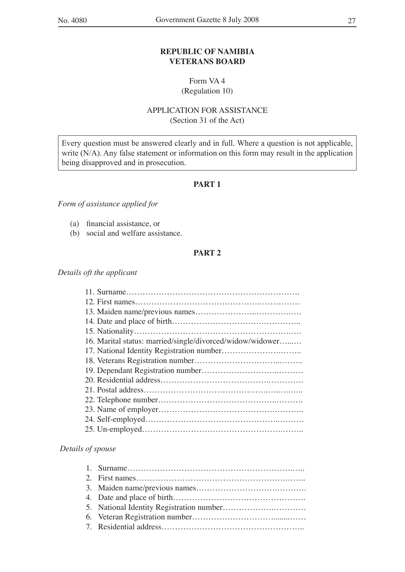## **REPUBLIC OF NAMIBIA VETERANS BOARD**

## Form VA 4 (Regulation 10)

## APPLICATION FOR ASSISTANCE (Section 31 of the Act)

Every question must be answered clearly and in full. Where a question is not applicable, write (N/A). Any false statement or information on this form may result in the application being disapproved and in prosecution.

## **PART 1**

## *Form of assistance applied for*

- (a) financial assistance, or
- (b) social and welfare assistance.

## **PART 2**

## *Details oft the applicant*

| 16. Marital status: married/single/divorced/widow/widower |
|-----------------------------------------------------------|
|                                                           |
|                                                           |
|                                                           |
|                                                           |
|                                                           |
|                                                           |
|                                                           |
|                                                           |
|                                                           |
|                                                           |

## *Details of spouse*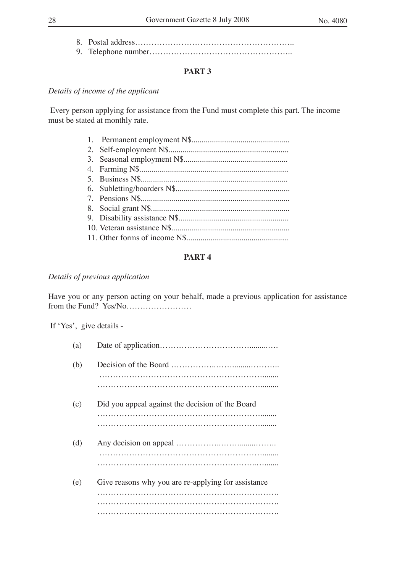8. Postal address………………………………………………….. 9. Telephone number……………………………………………..

## **PART 3**

## *Details of income of the applicant*

 Every person applying for assistance from the Fund must complete this part. The income must be stated at monthly rate.

## **PART 4**

#### *Details of previous application*

Have you or any person acting on your behalf, made a previous application for assistance from the Fund? Yes/No……………………

If ʻYes', give details -

| (a) |                                                     |
|-----|-----------------------------------------------------|
| (b) |                                                     |
| (c) | Did you appeal against the decision of the Board    |
| (d) |                                                     |
| (e) | Give reasons why you are re-applying for assistance |
|     |                                                     |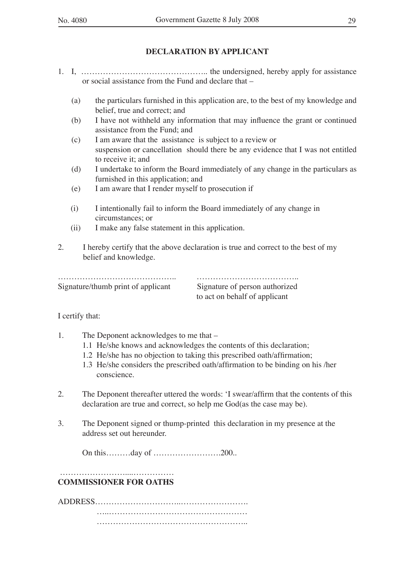## **DECLARATION BY APPLICANT**

- 1. I, ……………………………………….. the undersigned, hereby apply for assistance or social assistance from the Fund and declare that –
	- (a) the particulars furnished in this application are, to the best of my knowledge and belief, true and correct; and
	- (b) I have not withheld any information that may influence the grant or continued assistance from the Fund; and
	- (c) I am aware that the assistance is subject to a review or suspension or cancellation should there be any evidence that I was not entitled to receive it; and
	- (d) I undertake to inform the Board immediately of any change in the particulars as furnished in this application; and
	- (e) I am aware that I render myself to prosecution if
	- (i) I intentionally fail to inform the Board immediately of any change in circumstances; or
	- (ii) I make any false statement in this application.
- 2. I hereby certify that the above declaration is true and correct to the best of my belief and knowledge.

…………………………………….. ……………………………….. Signature/thumb print of applicant Signature of person authorized

to act on behalf of applicant

I certify that:

- 1. The Deponent acknowledges to me that
	- 1.1 He/she knows and acknowledges the contents of this declaration;
	- 1.2 He/she has no objection to taking this prescribed oath/affirmation;
	- 1.3 He/she considers the prescribed oath/affirmation to be binding on his /her conscience.
- 2. The Deponent thereafter uttered the words: ʻI swear/affirm that the contents of this declaration are true and correct, so help me God(as the case may be).
- 3. The Deponent signed or thump-printed this declaration in my presence at the address set out hereunder.

On this………day of …………………….200..

#### ……………………....…………… **COMMISSIONER FOR OATHS**

ADDRESS…………………………..…………………….

 …..…………………………………………… ………………………………………………..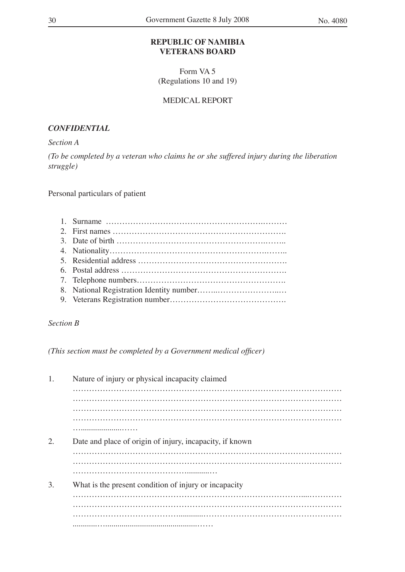## **REPUBLIC OF NAMIBIA VETERANS BOARD**

Form VA 5 (Regulations 10 and 19)

## MEDICAL REPORT

## *CONFIDENTIAL*

## *Section A*

*(To be completed by a veteran who claims he or she suffered injury during the liberation struggle)*

Personal particulars of patient

## *Section B*

*(This section must be completed by a Government medical officer)*

| 1. | Nature of injury or physical incapacity claimed          |
|----|----------------------------------------------------------|
|    |                                                          |
|    |                                                          |
|    |                                                          |
|    |                                                          |
|    |                                                          |
| 2. | Date and place of origin of injury, incapacity, if known |
|    |                                                          |
|    |                                                          |
|    |                                                          |
| 3. | What is the present condition of injury or incapacity    |
|    |                                                          |
|    |                                                          |
|    |                                                          |
|    |                                                          |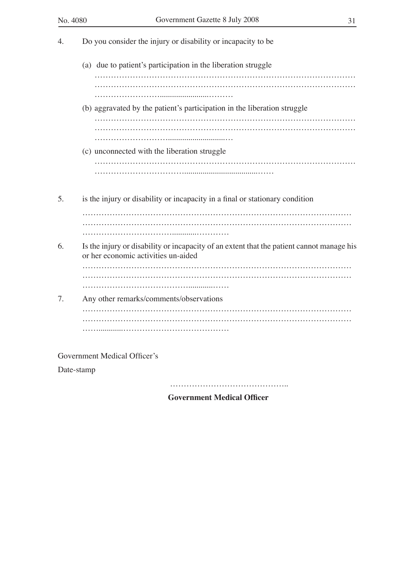

Government Medical Officer's

Date-stamp

……………………………………………………

 **Government Medical Officer**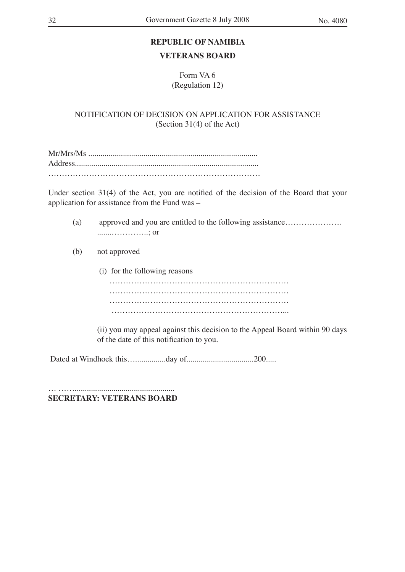## **REPUBLIC OF NAMIBIA**

## **VETERANS BOARD**

Form VA 6 (Regulation 12)

NOTIFICATION OF DECISION ON APPLICATION FOR ASSISTANCE (Section 31(4) of the Act)

Mr/Mrs/Ms ................................................................................... Address.......................................................................................... ……………………………………………………………………

Under section 31(4) of the Act, you are notified of the decision of the Board that your application for assistance from the Fund was –

- (a) approved and you are entitled to the following assistance………………… .......…………..; or
- (b) not approved
	- (i) for the following reasons ………………………………………………………… ………………………………………………………… ………………………………………………………… ………………………………………………………...

(ii) you may appeal against this decision to the Appeal Board within 90 days of the date of this notification to you.

Dated at Windhoek this…...............day of.................................200.....

… ……................................................. **SECRETARY: VETERANS BOARD**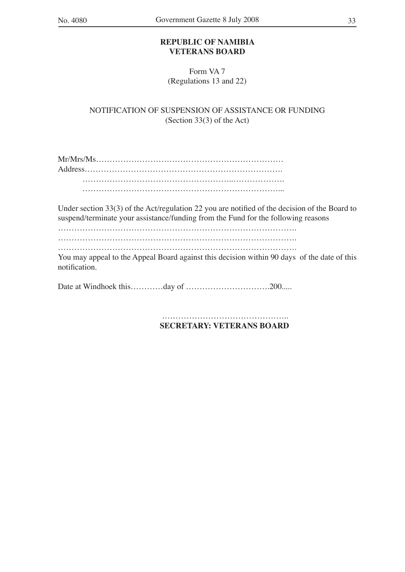## **REPUBLIC OF NAMIBIA VETERANS BOARD**

Form VA 7 (Regulations 13 and 22)

NOTIFICATION OF SUSPENSION OF ASSISTANCE OR FUNDING (Section 33(3) of the Act)

Under section 33(3) of the Act/regulation 22 you are notified of the decision of the Board to suspend/terminate your assistance/funding from the Fund for the following reasons

……………………………………………………………………………. …………………………………………………………………………….

…………………………………………………………………………….

You may appeal to the Appeal Board against this decision within 90 days of the date of this notification.

Date at Windhoek this…………day of ………………………………………200……

 ……………………………………….. **SECRETARY: VETERANS BOARD**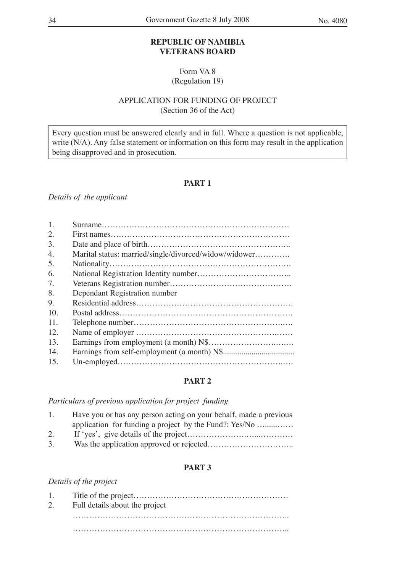## **REPUBLIC OF NAMIBIA VETERANS BOARD**

Form VA 8 (Regulation 19)

## APPLICATION FOR FUNDING OF PROJECT (Section 36 of the Act)

Every question must be answered clearly and in full. Where a question is not applicable, write (N/A). Any false statement or information on this form may result in the application being disapproved and in prosecution.

## **PART 1**

*Details of the applicant*

| 1.  |                                                       |
|-----|-------------------------------------------------------|
| 2.  |                                                       |
| 3.  |                                                       |
| 4.  | Marital status: married/single/divorced/widow/widower |
| 5.  |                                                       |
| 6.  |                                                       |
| 7.  |                                                       |
| 8.  | Dependant Registration number                         |
| 9.  |                                                       |
| 10. |                                                       |
| 11. |                                                       |
| 12. |                                                       |
| 13. |                                                       |
| 14. |                                                       |
| 15. |                                                       |

## **PART 2**

## *Particulars of previous application for project funding*

| 1. | Have you or has any person acting on your behalf, made a previous |
|----|-------------------------------------------------------------------|
|    | application for funding a project by the Fund?: Yes/No            |
| 2. |                                                                   |
| 3. |                                                                   |

## **PART 3**

*Details of the project*

| 2. | Full details about the project |  |  |  |  |  |  |  |
|----|--------------------------------|--|--|--|--|--|--|--|
|    |                                |  |  |  |  |  |  |  |
|    |                                |  |  |  |  |  |  |  |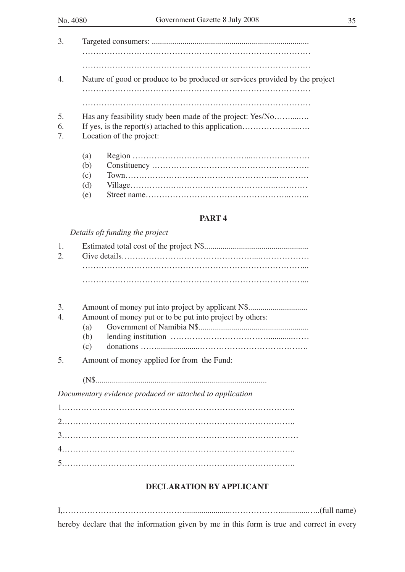| 3. |                          |                                                                              |  |  |  |  |
|----|--------------------------|------------------------------------------------------------------------------|--|--|--|--|
|    |                          |                                                                              |  |  |  |  |
|    |                          |                                                                              |  |  |  |  |
| 4. |                          | Nature of good or produce to be produced or services provided by the project |  |  |  |  |
|    |                          |                                                                              |  |  |  |  |
|    |                          |                                                                              |  |  |  |  |
| 5. |                          | Has any feasibility study been made of the project: Yes/No                   |  |  |  |  |
| 6. |                          | If yes, is the report(s) attached to this application                        |  |  |  |  |
| 7. | Location of the project: |                                                                              |  |  |  |  |
|    | (a)                      |                                                                              |  |  |  |  |
|    | (b)                      |                                                                              |  |  |  |  |
|    | (c)                      |                                                                              |  |  |  |  |
|    | (d)                      |                                                                              |  |  |  |  |

(e) Street name……………………………………………..……..

## **PART 4**

#### *Details oft funding the project*

| 3. |                                                          |  |  |  |
|----|----------------------------------------------------------|--|--|--|
| 4. | Amount of money put or to be put into project by others: |  |  |  |
|    | (a)                                                      |  |  |  |
|    | (b)                                                      |  |  |  |
|    | (c)                                                      |  |  |  |

5. Amount of money applied for from the Fund:

(N\$....................................................................................

*Documentary evidence produced or attached to application*

1………………………………………………………………………….. 2………………………………………………………………………….. 3…………………………………………………………………………… 4………………………………………………………………………….. 5…………………………………………………………………………..

## **DECLARATION BY APPLICANT**

|  |  | $I_1, \ldots, I_n$ (full name)                                                            |  |  |  |  |  |  |
|--|--|-------------------------------------------------------------------------------------------|--|--|--|--|--|--|
|  |  | hereby declare that the information given by me in this form is true and correct in every |  |  |  |  |  |  |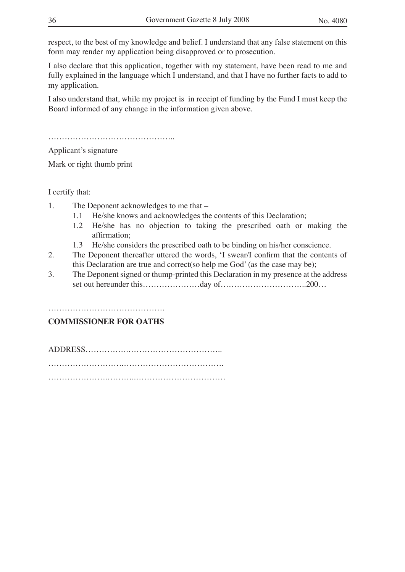respect, to the best of my knowledge and belief. I understand that any false statement on this form may render my application being disapproved or to prosecution.

I also declare that this application, together with my statement, have been read to me and fully explained in the language which I understand, and that I have no further facts to add to my application.

I also understand that, while my project is in receipt of funding by the Fund I must keep the Board informed of any change in the information given above.

………………………………………..

Applicant's signature

Mark or right thumb print

I certify that:

- 1. The Deponent acknowledges to me that
	- 1.1 He/she knows and acknowledges the contents of this Declaration;
	- 1.2 He/she has no objection to taking the prescribed oath or making the affirmation;
	- 1.3 He/she considers the prescribed oath to be binding on his/her conscience.
- 2. The Deponent thereafter uttered the words, ʻI swear/I confirm that the contents of this Declaration are true and correct(so help me God' (as the case may be);
- 3. The Deponent signed or thump-printed this Declaration in my presence at the address set out hereunder this…………………day of…………………………..200…

………………………………………………………

## **COMMISSIONER FOR OATHS**

ADDRESS…………….…………………………….. ……………………….………………………………. ………………….………..……………………………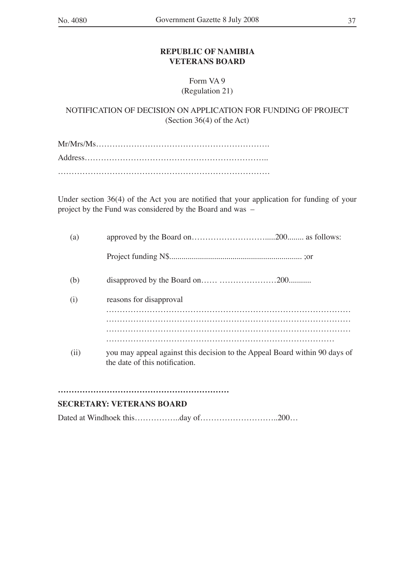## **REPUBLIC OF NAMIBIA VETERANS BOARD**

## Form VA 9 (Regulation 21)

NOTIFICATION OF DECISION ON APPLICATION FOR FUNDING OF PROJECT (Section 36(4) of the Act)

Mr/Mrs/Ms………………………………………………………. Address………………………………………………………….. ……………………………………………………………………

Under section 36(4) of the Act you are notified that your application for funding of your project by the Fund was considered by the Board and was –

| (a) |                                                                                                              |
|-----|--------------------------------------------------------------------------------------------------------------|
|     |                                                                                                              |
| (b) |                                                                                                              |
| (1) | reasons for disapproval                                                                                      |
|     |                                                                                                              |
|     |                                                                                                              |
| (i) | you may appeal against this decision to the Appeal Board within 90 days of<br>the date of this notification. |

## …………………………………………………………………………………

## **SECRETARY: VETERANS BOARD**

Dated at Windhoek this………………day of……………………………………………200…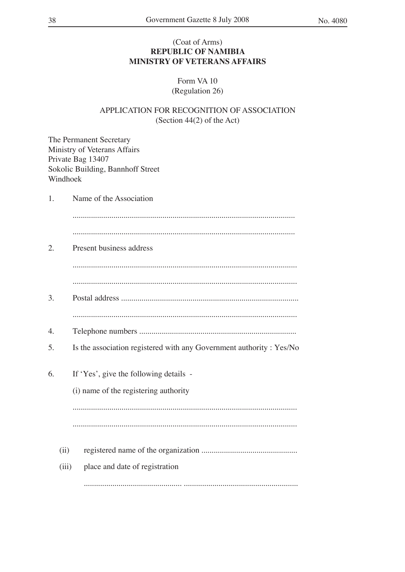## (Coat of Arms) **REPUBLIC OF NAMIBIA MINISTRY OF VETERANS AFFAIRS**

## Form VA 10 (Regulation 26)

## APPLICATION FOR RECOGNITION OF ASSOCIATION (Section 44(2) of the Act)

The Permanent Secretary Ministry of Veterans Affairs Private Bag 13407 Sokolic Building, Bannhoff Street Windhoek

1. Name of the Association ............................................................................................................. ............................................................................................................. 2. Present business address .............................................................................................................. .............................................................................................................. 3. Postal address ....................................................................................... .............................................................................................................. 4. Telephone numbers ............................................................................. 5. Is the association registered with any Government authority : Yes/No 6. If ʻYes', give the following details - (i) name of the registering authority .............................................................................................................. .............................................................................................................. (ii) registered name of the organization ............................................... (iii) place and date of registration ................................................ ........................................................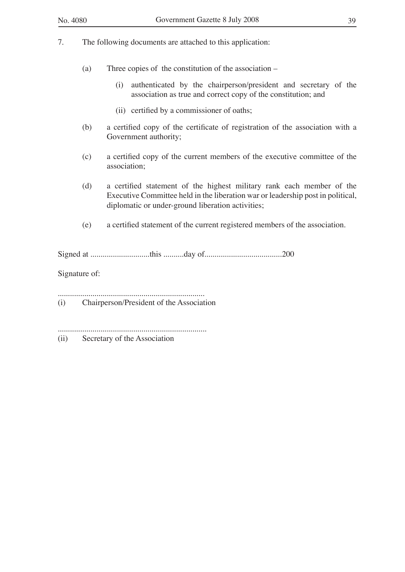- (a) Three copies of the constitution of the association
	- (i) authenticated by the chairperson/president and secretary of the association as true and correct copy of the constitution; and
	- (ii) certified by a commissioner of oaths;
- (b) a certified copy of the certificate of registration of the association with a Government authority;
- (c) a certified copy of the current members of the executive committee of the association;
- (d) a certified statement of the highest military rank each member of the Executive Committee held in the liberation war or leadership post in political, diplomatic or under-ground liberation activities;
- (e) a certified statement of the current registered members of the association.

Signed at .............................this ..........day of......................................200

Signature of:

........................................................................

(i) Chairperson/President of the Association

.........................................................................

(ii) Secretary of the Association